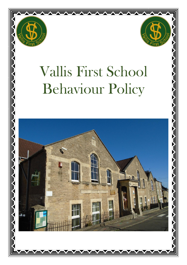



# Vallis First School Behaviour Policy

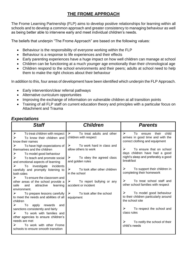# **THE FROME APPROACH**

The Frome Learning Partnership (FLP) aims to develop positive relationships for learning within all schools and to develop a common approach and greater consistency to managing behaviour as well as being better able to intervene early and meet individual children's needs.

The beliefs that underpin "The Frome Approach" are based on the following values:

- Behaviour is the responsibility of everyone working within the FLP
- Behaviour is a response to life experiences and their effects
- Early parenting experiences have a huge impact on how well children can manage at school
- Children can be functioning at a much younger age emotionally than their chronological age
- Children respond to the school environments and their peers; adults at school need to help them to make the right choices about their behaviour

In addition to this, four areas of development have been identified which underpin the FLP Approach.

- Early intervention/clear referral pathways
- Alternative curriculum opportunities
- Improving the exchange of information on vulnerable children at all transition points
- Training of all FLP staff on current education theory and principles with a particular focus on Attachment and Trauma

# *Expectations*

| <b>Staff</b>                                                                                                                                                                                                                                                       | <b>Children</b>                                                                                                                                                                              | <b>Parents</b>                                                                                                                                                                       |
|--------------------------------------------------------------------------------------------------------------------------------------------------------------------------------------------------------------------------------------------------------------------|----------------------------------------------------------------------------------------------------------------------------------------------------------------------------------------------|--------------------------------------------------------------------------------------------------------------------------------------------------------------------------------------|
| $\blacktriangleright$<br>To treat children with respect<br>➤<br>To know their children and<br>know their names                                                                                                                                                     | $\triangleright$ To treat adults and other<br>children with respect                                                                                                                          | $\triangleright$<br>their<br>child<br>To<br>ensure<br>arrives in good time and with the<br>correct clothing and equipment                                                            |
| To have high expectations of<br>➤<br>themselves and the children<br>➤<br>To model good behaviour<br>➤<br>To teach and promote social<br>and emotional aspects of learning<br>To investigate<br>➤<br>incidents<br>carefully and promptly listening to<br>both sides | ➤<br>To work hard in class and<br>allow others to work<br>$\triangleright$ To obey the agreed class<br>and golden rules<br>To look after other children<br>$\triangleright$<br>in the school | ➤<br>To ensure that on school<br>days children have had a good<br>night's sleep and preferably a good<br>breakfast<br>➤<br>To support their children in<br>completing their homework |
| To ensure the classroom and<br>➤<br>other areas of the school provide a<br>safe<br>attractive learning<br>and<br>environment.<br>$\triangleright$ To prepare lessons carefully                                                                                     | $\triangleright$ To report bullying or any<br>accident or incident<br>➤<br>To look after the school                                                                                          | $\triangleright$<br>To treat school staff and<br>other school families with respect<br>$\triangleright$<br>To model good behaviour<br>to their children particularly around          |
| to meet the needs and abilities of all<br>children<br>To apply rewards<br>➤<br>and<br>sanctions consistently and fairly<br>To work with families and<br>➤<br>other agencies to ensure children's<br>needs are met                                                  | equipment                                                                                                                                                                                    | the school site<br>➤<br>To respect the school and<br>class rules<br>$\triangleright$<br>To notify the school of their                                                                |
| To work with other Frome<br>schools to ensure smooth transition                                                                                                                                                                                                    |                                                                                                                                                                                              | child's needs                                                                                                                                                                        |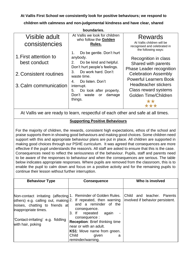**At Vallis First School we consistently look for positive behaviours; we respond to** 

**children with calmness and non-judgemental kindness and have clear, shared** 

| boundaries.                           |                                                                                                              |                                                                                              |  |  |
|---------------------------------------|--------------------------------------------------------------------------------------------------------------|----------------------------------------------------------------------------------------------|--|--|
| Visible adult<br>consistencies        | At Vallis we look for children<br>who follow the Golden<br>Rules.                                            | Rewards<br>At Vallis children will be<br>recognised and celebrated in<br>the following ways: |  |  |
| 1. First attention to<br>best conduct | Do be gentle. Don't hurt<br>1.<br>anybody.<br>Do be kind and helpful.<br>2.<br>Don't hurt people's feelings. | Recognition in class<br>Shared with parents<br><b>Phase Leader recognition</b>               |  |  |
| 2. Consistent routines                | Do work hard, Don't<br>3.<br>waste time.<br>Do listen, Don't<br>4.                                           | <b>Celebration Assembly</b><br><b>Powerful Learners Book</b>                                 |  |  |
| 3. Calm communication                 | interrupt.<br>Do look after property.<br>5.<br>Don't waste or<br>damage<br>things.                           | Headteacher stickers<br>Class reward systems<br>Golden Time/Children                         |  |  |

At Vallis we are ready to learn, respectful of each other and safe at all times.

## **Supporting Positive Behaviours**

For the majority of children, the rewards, consistent high expectations, ethos of the school and praise supports them in showing good behaviours and making good choices. Some children need support with this and appropriate behaviour plans are put in place. All children are supported in making good choices through our PSHE curriculum. It was agreed that consequences are more effective if the pupil understands the reason/s. All staff are asked to ensure that this is the case. Consequences need to reflect the seriousness of the behaviour. Pupils, staff and parents need to be aware of the responses to behaviour and when the consequences are serious. The table below indicates appropriate responses. Where pupils are removed from the classroom, this is to enable the pupil to calm down and focus on a positive activity and for the remaining pupils to continue their lesson without further interruption.

| <b>Behaviour Type</b>                                                                                                                                                                     | <b>Consequence</b>                                                                                                                                        | Who is involved                                                |
|-------------------------------------------------------------------------------------------------------------------------------------------------------------------------------------------|-----------------------------------------------------------------------------------------------------------------------------------------------------------|----------------------------------------------------------------|
|                                                                                                                                                                                           |                                                                                                                                                           |                                                                |
| Non-contact irritating (affecting 1. Reminder of Golden Rules.<br>others) e.g. calling out, making 2. If repeated, then warning<br>noises, chatting to friends at<br>inappropriate times. | and a reminder of the<br>consequence.<br>3. If<br>repeated<br>again                                                                                       | Child and teacher. Parents<br>involved if behavior persistent. |
| "Contact-irritating' e.g. fiddling<br>with hair, poking                                                                                                                                   | consequence:<br><b>Reception: Brief thinking time</b><br>near or with an adult.<br>KS1: Move name from green.<br>Child<br>given<br>a<br>reminder/warning. |                                                                |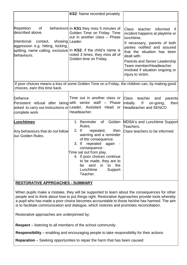|                                                                                                                                                                                                                  | KS2: Name recorded privately                                                                                                                                                                                                                                                                                                                      |                                                                                                                                                                                                                                                                                                                                 |  |  |
|------------------------------------------------------------------------------------------------------------------------------------------------------------------------------------------------------------------|---------------------------------------------------------------------------------------------------------------------------------------------------------------------------------------------------------------------------------------------------------------------------------------------------------------------------------------------------|---------------------------------------------------------------------------------------------------------------------------------------------------------------------------------------------------------------------------------------------------------------------------------------------------------------------------------|--|--|
| <b>Repetition</b><br>of<br>described above.<br>Intentional contact,<br>showing   Leader.<br>aggression e.g. hitting, kicking,<br>spitting, name calling, exclusive In KS2, if the child's name is<br>behaviours. | behaviours In KS1 they miss 5 minutes of<br>Golden Time on Friday. Time<br>out in another class - Phase<br>noted 3 times, they miss all of<br>Golden time on Friday.                                                                                                                                                                              | Class<br>teacher<br>informed<br>if.<br>incident happens at playtime or<br>lunchtime.<br>If necessary, parents of both<br>parties notified and assured<br>that the situation has been<br>dealt with.<br><b>Parents and Senior Leadership</b><br>Team member/Headteacher<br>involved if situation ongoing or<br>injury to victim. |  |  |
| If poor choices means a loss of some Golden Time on a Friday, the children can, by making good<br>choices, earn this time back.                                                                                  |                                                                                                                                                                                                                                                                                                                                                   |                                                                                                                                                                                                                                                                                                                                 |  |  |
| Defiance<br>Persistent refusal after being with senior staff - Phase<br>asked to carry out instructions or Leader, Assistant Head or<br>complete work                                                            | Time out in another class or<br>Headteacher.                                                                                                                                                                                                                                                                                                      | <b>Class</b><br>teacher<br>parents<br>and<br> f <br>initially.<br>then<br>on-going,<br><b>Headteacher and SENCO</b>                                                                                                                                                                                                             |  |  |
| Lunchtimes<br>Any behaviours that do not follow<br>our Golden Rules.                                                                                                                                             | 1. Reminder<br>of Golden<br>Rules.<br>$2.$ If<br>repeated,<br>then<br>warning and a reminder<br>of the consequence.<br>$3.$ If<br>repeated again<br>$\overline{\phantom{a}}$<br>consequence :<br>Time sat out from play.<br>4. If poor choices continue<br>to be made, they are to<br>sent in<br>to the<br>be<br>Lunchtime<br>Support<br>Teacher. | MDSA's and Lunchtime Support<br>Teachers.<br>Class teachers to be informed.                                                                                                                                                                                                                                                     |  |  |

## **RESTORATIVE APPROACHES - SUMMARY**

When pupils make a mistake, they will be supported to learn about the consequences for other people and to think about how to put things right. Restorative Approaches provide tools whereby a pupil who has made a poor choice becomes accountable to those he/she has harmed. The aim is to facilitate communication and dialogue, which restores and promotes reconciliation.

Restorative approaches are underpinned by;

**Respect** – listening to all members of the school community

**Responsibility** – enabling and encouraging people to take responsibility for their actions

**Reparation** – Seeking opportunities to repair the harm that has been caused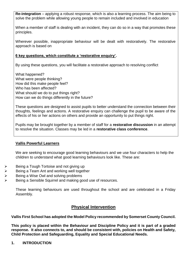**Re-integration** – applying a robust response, which is also a learning process. The aim being to solve the problem while allowing young people to remain included and involved in education

When a member of staff is dealing with an incident, they can do so in a way that promotes these principles.

Wherever possible, inappropriate behaviour will be dealt with restoratively. The restorative approach is based on

### **6 key questions, which constitute a 'restorative enquiry'.**

By using these questions, you will facilitate a restorative approach to resolving conflict

What happened? What were people thinking? How did this make people feel? Who has been affected? What should we do to put things right? How can we do things differently in the future?

These questions are designed to assist pupils to better understand the connection between their thoughts, feelings and actions. A restorative enquiry can challenge the pupil to be aware of the effects of his or her actions on others and provide an opportunity to put things right.

Pupils may be brought together by a member of staff for a **restorative discussion** in an attempt to resolve the situation. Classes may be led in a **restorative class conference**.

#### **Vallis Powerful Learners**

We are seeking to encourage good learning behaviours and we use four characters to help the children to understand what good learning behaviours look like. These are:

- Being a Tough Tortoise and not giving up
- ➢ Being a Team Ant and working well together
- ➢ Being a Wise Owl and solving problems
- Being a Sensible Squirrel and making good use of resources.

These learning behaviours are used throughout the school and are celebrated in a Friday Assembly.

# **Physical Intervention**

#### **Vallis First School has adopted the Model Policy recommended by Somerset County Council.**

**This policy is placed within the Behaviour and Discipline Policy and it is part of a graded response. It also connects to, and should be consistent with, policies on Health and Safety, Child Protection and Safeguarding, Equality and Special Educational Needs.**

#### **1. INTRODUCTION**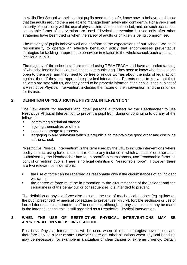In Vallis First School we believe that pupils need to be safe, know how to behave, and know that the adults around them are able to manage them safely and confidently. For a very small minority of pupils only will the use of physical intervention be needed, and, on such occasions, acceptable forms of intervention are used. Physical Intervention is used only after other strategies have been tried or when the safety of adults or children is being compromised.

The majority of pupils behave well and conform to the expectations of our school. We have responsibility to operate an effective behaviour policy that encompasses preventative strategies for tackling inappropriate behaviour in relation to the whole school, each class, and individual pupils.

The majority of the school staff are trained using TEAMTEACH and have an understanding of what challenging behaviours might be communicating. They need to know what the options open to them are, and they need to be free of undue worries about the risks of legal action against them if they use appropriate physical intervention. Parents need to know that their children are safe with us, and they need to be properly informed if their child is the subject of a Restrictive Physical Intervention, including the nature of the intervention, and the rationale for its use.

#### **2. DEFINITION OF "RESTRICTIVE PHYSICAL INTERVENTION"**

The Law allows for teachers and other persons authorised by the Headteacher to use Restrictive Physical Intervention to prevent a pupil from doing or continuing to do any of the following:-

- committing a criminal offence
- **•** injuring themselves or others
- causing damage to property
- engaging in any behaviour which is prejudicial to maintain the good order and discipline at the school.

"Restrictive Physical Intervention" is the term used by the DfE to include interventions where bodily contact using force is used. It refers to any instance in which a teacher or other adult authorised by the Headteacher has to, in specific circumstances, use "reasonable force" to control or restrain pupils. There is no legal definition of "reasonable force". However, there are two relevant considerations:

- the use of force can be regarded as reasonable only if the circumstances of an incident warrant it;
- the degree of force must be in proportion to the circumstances of the incident and the seriousness of the behaviour or consequences it is intended to prevent.

The definition of physical force also includes the use of mechanical devices (eg. splints on the pupil prescribed by medical colleagues to prevent self-injury), forcible seclusion or use of locked doors. It is important for staff to note that, although no physical contact may be made in the latter situations, this is still regarded as a Restrictive Physical Intervention.

## **3. WHEN THE USE OF RESTRICTIVE PHYSICAL INTERVENTIONS MAY BE APPROPRIATE IN VALLIS FIRST SCHOOL**

Restrictive Physical Interventions will be used when all other strategies have failed, and therefore only as a **last resort**. However there are other situations when physical handling may be necessary, for example in a situation of clear danger or extreme urgency. Certain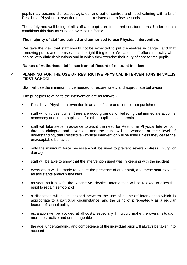pupils may become distressed, agitated, and out of control, and need calming with a brief Restrictive Physical Intervention that is un-resisted after a few seconds.

The safety and well-being of all staff and pupils are important considerations. Under certain conditions this duty must be an over-riding factor.

#### **The majority of staff are trained and authorised to use Physical Intervention.**

We take the view that staff should not be expected to put themselves in danger, and that removing pupils and themselves is the right thing to do. We value staff efforts to rectify what can be very difficult situations and in which they exercise their duty of care for the pupils.

#### **Names of Authorised staff – see front of Record of restraint incidents**

#### **4. PLANNING FOR THE USE OF RESTRICTIVE PHYSICAL INTERVENTIONS IN VALLIS FIRST SCHOOL**

Staff will use the minimum force needed to restore safety and appropriate behaviour.

The principles relating to the intervention are as follows:-

- Restrictive Physical Intervention is an act of care and control, not punishment.
- staff will only use it when there are good grounds for believing that immediate action is necessary and in the pupil's and/or other pupil's best interests
- staff will take steps in advance to avoid the need for Restrictive Physical Intervention through dialogue and diversion, and the pupil will be warned, at their level of understanding, that Restrictive Physical Intervention will be used unless they cease the unacceptable behaviour
- **•** only the minimum force necessary will be used to prevent severe distress, injury, or damage
- staff will be able to show that the intervention used was in keeping with the incident
- every effort will be made to secure the presence of other staff, and these staff may act as assistants and/or witnesses
- as soon as it is safe, the Restrictive Physical Intervention will be relaxed to allow the pupil to regain self-control
- a distinction will be maintained between the use of a one-off intervention which is appropriate to a particular circumstance, and the using of it repeatedly as a regular feature of school policy
- escalation will be avoided at all costs, especially if it would make the overall situation more destructive and unmanageable
- the age, understanding, and competence of the individual pupil will always be taken into account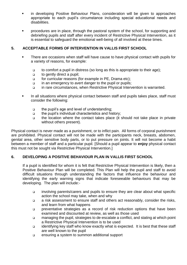- in developing Positive Behaviour Plans, consideration will be given to approaches appropriate to each pupil's circumstance including special educational needs and disabilities.
- procedures are in place, through the pastoral system of the school, for supporting and debriefing pupils and staff after every incident of Restrictive Physical Intervention, as it is essential to safeguard the emotional well-being of all involved at these times.

### **5. ACCEPTABLE FORMS OF INTERVENTION IN VALLIS FIRST SCHOOL**

- There are occasions when staff will have cause to have physical contact with pupils for a variety of reasons, for example:
	- ❑ to comfort a pupil in distress (so long as this is appropriate to their age);
	- ❑ to gently direct a pupil;
	- ❑ for curricular reasons (for example in PE, Drama etc);
	- ❑ in an emergency to avert danger to the pupil or pupils;
	- ❑ in rare circumstances, when Restrictive Physical Intervention is warranted.
- **■** In all situations where physical contact between staff and pupils takes place, staff must consider the following:
	- ❑ the pupil's age and level of understanding;
	- ❑ the pupil's individual characteristics and history;
	- ❑ the location where the contact takes place (it should not take place in private without others present).

Physical contact is never made as a punishment, or to inflict pain. All forms of corporal punishment are prohibited. Physical contact will not be made with the participants neck, breasts, abdomen, genital area, other sensitive body parts, or to put pressure on joints. It will not become a habit between a member of staff and a particular pupil. [Should a pupil appear to **enjoy** physical contact this must not be sought via Restrictive Physical Intervention.]

## **6. DEVELOPING A POSITIVE BEHAVIOUR PLAN IN VALLIS FIRST SCHOOL**

If a pupil is identified for whom it is felt that Restrictive Physical Intervention is likely, then a Positive Behaviour Plan will be completed. This Plan will help the pupil and staff to avoid difficult situations through understanding the factors that influence the behaviour and identifying the early warning signs that indicate foreseeable behaviours that may be developing. The plan will include:-

- ❑ involving parents/carers and pupils to ensure they are clear about what specific action the school may take, when and why
- ❑ a risk assessment to ensure staff and others act reasonably, consider the risks, and learn from what happens
- ❑ preventative strategies as a record of risk reduction options that have been examined and discounted at review, as well as those used
- ❑ managing the pupil, strategies to de-escalate a conflict, and stating at which point a Restrictive Physical Intervention is to be used
- ❑ identifying key staff who know exactly what is expected. It is best that these staff are well known to the pupil
- ❑ ensuring a system to summon additional support